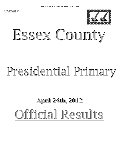

# Essex County Essex County

## Presidential Primary

## April 24th, 2012 April 24th, 2012 Official Results Official Results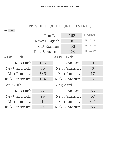## PRESIDENT OF THE UNITED STATES

ALL: 940

|                | Ron Paul:             | 162            | <b>REPUBLICAN</b> |
|----------------|-----------------------|----------------|-------------------|
|                | Newt Gingrich:        | 96             | <b>REPUBLICAN</b> |
|                | Mitt Romney:          | 553            | <b>REPUBLICAN</b> |
|                | <b>Rick Santorum:</b> | 129            | <b>REPUBLICAN</b> |
| Assy 113th     |                       | Assy 114th     |                   |
| Ron Paul:      | 153                   | Ron Paul:      | 9                 |
| Newt Gingrich: | 90                    | Newt Gingrich: | 6                 |
| Mitt Romney:   | 536                   | Mitt Romney:   | 17                |
| Rick Santorum: | 124                   | Rick Santorum: | 5                 |
| Cong 20th      |                       | Cong 23rd      |                   |
| Ron Paul:      | 77                    | Ron Paul:      | 85                |
| Newt Gingrich: | 29                    | Newt Gingrich: | 67                |
| Mitt Romney:   | 212                   | Mitt Romney:   | 341               |
| Rick Santorum: | 44                    | Rick Santorum: | 85                |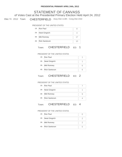## Elec Yr: 2012 Town: CHESTERFIELD Assy Dist 113th - Cong Dist 23rd STATEMENT OF CANVASS of Votes Cast at the Presidential Primary Election Held April 24, 2012

## PRESIDENT OF THE UNITED STATES

| 1B: Ron Paul      |  |
|-------------------|--|
| 2B: Newt Gingrich |  |
| 3B: Mitt Romney   |  |
| 4B: Rick Santorum |  |

## Town: CHESTERFIELD ED: 1

#### PRESIDENT OF THE UNITED STATES

| 1B: Ron Paul      |  |
|-------------------|--|
| 2B: Newt Gingrich |  |
| 3B: Mitt Romney   |  |
| 4B: Rick Santorum |  |

## Town: CHESTERFIELD ED: 2

#### PRESIDENT OF THE UNITED STATES

| 1B: Ron Paul      |  |
|-------------------|--|
| 2B: Newt Gingrich |  |
| 3B: Mitt Romney   |  |
| 4B: Rick Santorum |  |

## Town: CHESTERFIELD ED: 4

| 1B: Ron Paul      |  |
|-------------------|--|
| 2B: Newt Gingrich |  |
| 3B: Mitt Romney   |  |
| 4B: Rick Santorum |  |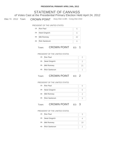## Elec Yr: 2012 Town: CROWN POINT Assy Dist 113th - Cong Dist 23rd STATEMENT OF CANVASS of Votes Cast at the Presidential Primary Election Held April 24, 2012

## PRESIDENT OF THE UNITED STATES

| 1B: Ron Paul      | r. |
|-------------------|----|
| 2B: Newt Gingrich |    |
| 3B: Mitt Romney   | 42 |
| 4B: Rick Santorum |    |

## Town: CROWN POINT ED: 1

#### PRESIDENT OF THE UNITED STATES

| 1B: Ron Paul      |    |
|-------------------|----|
| 2B: Newt Gingrich |    |
| 3B: Mitt Romney   | 21 |
| 4B: Rick Santorum |    |

## Town: CROWN POINT ED: 2

#### PRESIDENT OF THE UNITED STATES

| 1B: Ron Paul      |  |
|-------------------|--|
| 2B: Newt Gingrich |  |
| 3B: Mitt Romney   |  |
| 4B: Rick Santorum |  |

## Town: **CROWN POINT** ED: 3

| 1B: Ron Paul      |    |
|-------------------|----|
| 2B: Newt Gingrich |    |
| 3B: Mitt Romney   | 19 |
| 4B: Rick Santorum |    |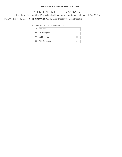## Elec Yr: 2012 Town: ELIZABETHTOWN Assy Dist 113th - Cong Dist 23rd STATEMENT OF CANVASS of Votes Cast at the Presidential Primary Election Held April 24, 2012

| 1B: Ron Paul      |  |
|-------------------|--|
| 2B: Newt Gingrich |  |
| 3B: Mitt Romney   |  |
| 4B: Rick Santorum |  |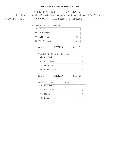## STATEMENT OF CANVASS of Votes Cast at the Presidential Primary Election Held April 24, 2012

Elec Yr: 2012 Town: ESSEX Assy Dist 113th - Cong Dist 23rd

## PRESIDENT OF THE UNITED STATES

|     | 1B: Ron Paul      |  |
|-----|-------------------|--|
| 2B: | Newt Gingrich     |  |
|     | 3B: Mitt Romney   |  |
|     | 4B: Rick Santorum |  |
|     |                   |  |

## Town: ESSEX ED: 1

#### PRESIDENT OF THE UNITED STATES

| 1B: Ron Paul      |  |
|-------------------|--|
| 2B: Newt Gingrich |  |
| 3B: Mitt Romney   |  |
| 4B: Rick Santorum |  |
|                   |  |

## Town: **ESSEX** ED: 2

| 1B: Ron Paul      |   |
|-------------------|---|
| 2B: Newt Gingrich |   |
| 3B: Mitt Romney   | 5 |
| 4B: Rick Santorum |   |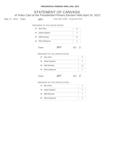## STATEMENT OF CANVASS of Votes Cast at the Presidential Primary Election Held April 24, 2012

Elec Yr: 2012 Town: **JAY** Assy Dist 113th - Cong Dist 23rd

## PRESIDENT OF THE UNITED STATES

|     | 1B: Ron Paul         | 10 |
|-----|----------------------|----|
| 2B: | Newt Gingrich        | 3  |
| 3B: | Mitt Romney          | 23 |
| 4B: | <b>Rick Santorum</b> |    |
|     |                      |    |

## PRESIDENT OF THE UNITED STATES 1B: Ron Paul 6 2B: Newt Gingrich 3 3B: Mitt Romney 16 4B: Rick Santorum 2

## Town: **JAY** ED: 2

| 1B: Ron Paul      |  |
|-------------------|--|
| 2B: Newt Gingrich |  |
| 3B: Mitt Romney   |  |
| 4B: Rick Santorum |  |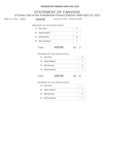## STATEMENT OF CANVASS of Votes Cast at the Presidential Primary Election Held April 24, 2012

Elec Yr: 2012 Town: KEENE Assy Dist 113th - Cong Dist 20th

## PRESIDENT OF THE UNITED STATES

| 1B: | Ron Paul             |    |
|-----|----------------------|----|
| 2B: | Newt Gingrich        |    |
|     | 3B: Mitt Romney      | 38 |
| 4B: | <b>Rick Santorum</b> |    |
|     |                      |    |

## Town: **KEENE** ED: 1

#### PRESIDENT OF THE UNITED STATES

| 1B: Ron Paul      |    |
|-------------------|----|
| 2B: Newt Gingrich | З  |
| 3B: Mitt Romney   | 23 |
| 4B: Rick Santorum |    |
|                   |    |

## Town: **KEENE** ED: 2

| 1B: Ron Paul      |    |
|-------------------|----|
| 2B: Newt Gingrich |    |
| 3B: Mitt Romney   | 15 |
| 4B: Rick Santorum |    |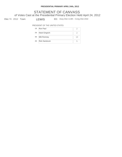STATEMENT OF CANVASS of Votes Cast at the Presidential Primary Election Held April 24, 2012

Elec Yr: 2012 Town: LEWIS ED: Assy Dist 113th - Cong Dist 23rd

| 1B: Ron Paul      |    |
|-------------------|----|
| 2B: Newt Gingrich |    |
| 3B: Mitt Romney   | 13 |
| 4B: Rick Santorum |    |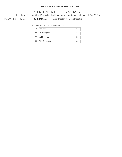## STATEMENT OF CANVASS of Votes Cast at the Presidential Primary Election Held April 24, 2012

Elec Yr: 2012 Town: MINERVA Assy Dist 113th - Cong Dist 23rd

|     | 1B: Ron Paul         |    |
|-----|----------------------|----|
|     | 2B: Newt Gingrich    |    |
|     | 3B: Mitt Romney      | 18 |
| 4B: | <b>Rick Santorum</b> |    |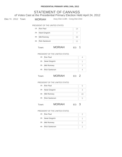## STATEMENT OF CANVASS of Votes Cast at the Presidential Primary Election Held April 24, 2012

Elec Yr: 2012 Town: MORIAH Assy Dist 113th - Cong Dist 23rd

## PRESIDENT OF THE UNITED STATES

| 1B: | Ron Paul             | 14 |
|-----|----------------------|----|
| 2B: | Newt Gingrich        |    |
|     | 3B: Mitt Romney      | 33 |
| 4B: | <b>Rick Santorum</b> |    |
|     |                      |    |

## Town: MORIAH ED: 1

#### PRESIDENT OF THE UNITED STATES

| 1B: Ron Paul      |  |
|-------------------|--|
| 2B: Newt Gingrich |  |
| 3B: Mitt Romney   |  |
| 4B: Rick Santorum |  |
|                   |  |

## Town: MORIAH ED: 2

#### PRESIDENT OF THE UNITED STATES

| 1B: Ron Paul      |     |
|-------------------|-----|
| 2B: Newt Gingrich |     |
| 3B: Mitt Romney   | 1 Y |
| 4B: Rick Santorum |     |
|                   |     |

## Town: MORIAH ED: 3

| 1B: Ron Paul      |  |
|-------------------|--|
| 2B: Newt Gingrich |  |
| 3B: Mitt Romney   |  |
| 4B: Rick Santorum |  |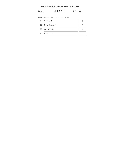## Town: **MORIAH** ED: 4

| 1B: Ron Paul      |  |
|-------------------|--|
| 2B: Newt Gingrich |  |
| 3B: Mitt Romney   |  |
| 4B: Rick Santorum |  |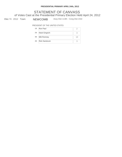## Elec Yr: 2012 Town: NEWCOMB Assy Dist 113th - Cong Dist 23rd STATEMENT OF CANVASS of Votes Cast at the Presidential Primary Election Held April 24, 2012

| 1B: Ron Paul      |    |
|-------------------|----|
| 2B: Newt Gingrich |    |
| 3B: Mitt Romney   | 13 |
| 4B: Rick Santorum |    |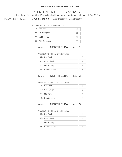## Elec Yr: 2012 Town: NORTH ELBA Assy Dist 113th - Cong Dist 20th STATEMENT OF CANVASS of Votes Cast at the Presidential Primary Election Held April 24, 2012

## PRESIDENT OF THE UNITED STATES

| 1B: Ron Paul      | 35 |
|-------------------|----|
| 2B: Newt Gingrich | 11 |
| 3B: Mitt Romney   | 73 |
| 4B: Rick Santorum | 20 |

## Town: NORTH ELBA ED: 1

#### PRESIDENT OF THE UNITED STATES

| 1B: Ron Paul      |  |
|-------------------|--|
| 2B: Newt Gingrich |  |
| 3B: Mitt Romney   |  |
| 4B: Rick Santorum |  |

## Town: NORTH ELBA ED: 2

#### PRESIDENT OF THE UNITED STATES

| 1B: Ron Paul      |  |
|-------------------|--|
| 2B: Newt Gingrich |  |
| 3B: Mitt Romney   |  |
| 4B: Rick Santorum |  |

## Town: NORTH ELBA ED: 3

| 1B: Ron Paul      |    |
|-------------------|----|
| 2B: Newt Gingrich |    |
| 3B: Mitt Romney   | 12 |
| 4B: Rick Santorum |    |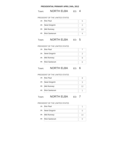## Town: NORTH ELBA ED: 4

#### PRESIDENT OF THE UNITED STATES

| 1B: Ron Paul      | h  |
|-------------------|----|
| 2B: Newt Gingrich |    |
| 3B: Mitt Romney   | 13 |
| 4B: Rick Santorum |    |

## Town: NORTH ELBA ED: 5

#### PRESIDENT OF THE UNITED STATES

| 1B: Ron Paul      |  |
|-------------------|--|
| 2B: Newt Gingrich |  |
| 3B: Mitt Romney   |  |
| 4B: Rick Santorum |  |

## Town: NORTH ELBA ED: 6

#### PRESIDENT OF THE UNITED STATES

| 1B: Ron Paul      |    |
|-------------------|----|
| 2B: Newt Gingrich |    |
| 3B: Mitt Romney   | 12 |
| 4B: Rick Santorum |    |

## Town: NORTH ELBA ED: 7

| 1B: Ron Paul      |    |
|-------------------|----|
| 2B: Newt Gingrich |    |
| 3B: Mitt Romney   | 14 |
| 4B: Rick Santorum |    |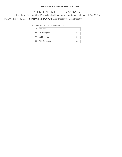## Elec Yr: 2012 Town: NORTH HUDSON Assy Dist 113th - Cong Dist 20th STATEMENT OF CANVASS of Votes Cast at the Presidential Primary Election Held April 24, 2012

| 1B: Ron Paul      |  |
|-------------------|--|
| 2B: Newt Gingrich |  |
| 3B: Mitt Romney   |  |
| 4B: Rick Santorum |  |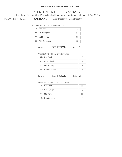## Elec Yr: 2012 Town: SCHROON Assy Dist 113th - Cong Dist 20th STATEMENT OF CANVASS of Votes Cast at the Presidential Primary Election Held April 24, 2012

## PRESIDENT OF THE UNITED STATES

| 1B: | Ron Paul             |    |
|-----|----------------------|----|
| 2B: | Newt Gingrich        |    |
| 3B: | Mitt Romney          | 45 |
| 4B: | <b>Rick Santorum</b> |    |
|     |                      |    |

## Town: SCHROON ED: 1

#### PRESIDENT OF THE UNITED STATES

| 1B: Ron Paul      |    |
|-------------------|----|
| 2B: Newt Gingrich |    |
| 3B: Mitt Romney   | 16 |
| 4B: Rick Santorum |    |
|                   |    |

## Town: **SCHROON** ED: 2

| 1B: Ron Paul      | 12           |
|-------------------|--------------|
| 2B: Newt Gingrich | h            |
| 3B: Mitt Romney   | 29           |
| 4B: Rick Santorum | $\mathsf{h}$ |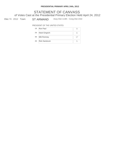## Elec Yr: 2012 Town: ST ARMAND Assy Dist 114th - Cong Dist 23rd STATEMENT OF CANVASS of Votes Cast at the Presidential Primary Election Held April 24, 2012

| 1B: Ron Paul      |  |
|-------------------|--|
| 2B: Newt Gingrich |  |
| 3B: Mitt Romney   |  |
| 4B: Rick Santorum |  |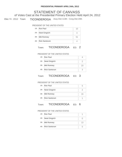## Elec Yr: 2012 Town: TICONDEROGA Assy Dist 113th - Cong Dist 20th STATEMENT OF CANVASS of Votes Cast at the Presidential Primary Election Held April 24, 2012

## PRESIDENT OF THE UNITED STATES

| 1B: Ron Paul      | 10 |
|-------------------|----|
| 2B: Newt Gingrich |    |
| 3B: Mitt Romney   | 51 |
| 4B: Rick Santorum |    |

## Town: TICONDEROGA ED: 2

#### PRESIDENT OF THE UNITED STATES

| 1B: Ron Paul      |    |
|-------------------|----|
| 2B: Newt Gingrich |    |
| 3B: Mitt Romney   | 23 |
| 4B: Rick Santorum |    |

## Town: TICONDEROGA ED: 3

#### PRESIDENT OF THE UNITED STATES

|     | 1B: Ron Paul         |    |
|-----|----------------------|----|
|     | 2B: Newt Gingrich    |    |
|     | 3B: Mitt Romney      | 15 |
| 4B: | <b>Rick Santorum</b> |    |

## Town: TICONDEROGA ED: 6

| 1B: Ron Paul      |    |
|-------------------|----|
| 2B: Newt Gingrich |    |
| 3B: Mitt Romney   | 13 |
| 4B: Rick Santorum |    |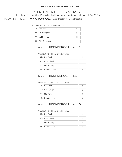## Elec Yr: 2012 Town: TICONDEROGA Assy Dist 113th - Cong Dist 23rd STATEMENT OF CANVASS of Votes Cast at the Presidential Primary Election Held April 24, 2012

## PRESIDENT OF THE UNITED STATES

| 1B: Ron Paul      |    |
|-------------------|----|
| 2B: Newt Gingrich |    |
| 3B: Mitt Romney   | 36 |
| 4B: Rick Santorum |    |

## Town: TICONDEROGA ED: 1

#### PRESIDENT OF THE UNITED STATES

| 1B: Ron Paul      |    |
|-------------------|----|
| 2B: Newt Gingrich |    |
| 3B: Mitt Romney   | 21 |
| 4B: Rick Santorum |    |

## Town: TICONDEROGA ED: 4

#### PRESIDENT OF THE UNITED STATES

| 1B: Ron Paul      |  |
|-------------------|--|
| 2B: Newt Gingrich |  |
| 3B: Mitt Romney   |  |
| 4B: Rick Santorum |  |

## Town: TICONDEROGA ED: 5

| 1B: Ron Paul      |  |
|-------------------|--|
| 2B: Newt Gingrich |  |
| 3B: Mitt Romney   |  |
| 4B: Rick Santorum |  |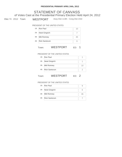## Elec Yr: 2012 Town: WESTPORT Assy Dist 113th - Cong Dist 23rd STATEMENT OF CANVASS of Votes Cast at the Presidential Primary Election Held April 24, 2012

## PRESIDENT OF THE UNITED STATES

|     | 1B: Ron Paul         | 10 |
|-----|----------------------|----|
|     | 2B: Newt Gingrich    |    |
|     | 3B: Mitt Romney      | 45 |
| 4B: | <b>Rick Santorum</b> |    |
|     |                      |    |

## Town: WESTPORT ED: 1

#### PRESIDENT OF THE UNITED STATES

| 1B: Ron Paul      |  |
|-------------------|--|
| 2B: Newt Gingrich |  |
| 3B: Mitt Romney   |  |
| 4B: Rick Santorum |  |

## Town: WESTPORT ED: 2

| 1B: Ron Paul      |    |
|-------------------|----|
| 2B: Newt Gingrich |    |
| 3B: Mitt Romney   | 35 |
| 4B: Rick Santorum |    |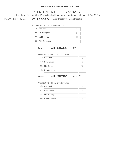## Elec Yr: 2012 Town: WILLSBORO Assy Dist 113th - Cong Dist 23rd STATEMENT OF CANVASS of Votes Cast at the Presidential Primary Election Held April 24, 2012

## PRESIDENT OF THE UNITED STATES

| 1B: Ron Paul      |    |
|-------------------|----|
| 2B: Newt Gingrich |    |
| 3B: Mitt Romney   | 25 |
| 4B: Rick Santorum |    |

## Town: WILLSBORO ED: 1

#### PRESIDENT OF THE UNITED STATES

| 1B: Ron Paul      |    |
|-------------------|----|
| 2B: Newt Gingrich |    |
| 3B: Mitt Romney   | 12 |
| 4B: Rick Santorum |    |

## Town: WILLSBORO ED: 2

| 1B: Ron Paul      |    |
|-------------------|----|
| 2B: Newt Gingrich |    |
| 3B: Mitt Romney   | 13 |
| 4B: Rick Santorum |    |